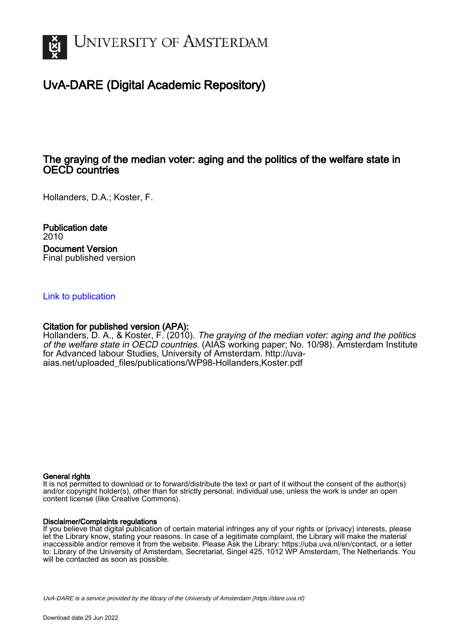

### UvA-DARE (Digital Academic Repository)

### The graying of the median voter: aging and the politics of the welfare state in OECD countries

Hollanders, D.A.; Koster, F.

Publication date 2010 Document Version Final published version

#### [Link to publication](https://dare.uva.nl/personal/pure/en/publications/the-graying-of-the-median-voter-aging-and-the-politics-of-the-welfare-state-in-oecd-countries(a6291784-fe62-4c75-ab8e-9d0bd6cac9ef).html)

#### Citation for published version (APA):

Hollanders, D. A., & Koster, F. (2010). The graying of the median voter: aging and the politics of the welfare state in OECD countries. (AIAS working paper; No. 10/98). Amsterdam Institute for Advanced labour Studies, University of Amsterdam. [http://uva](http://uva-aias.net/uploaded_files/publications/WP98-Hollanders,Koster.pdf)[aias.net/uploaded\\_files/publications/WP98-Hollanders,Koster.pdf](http://uva-aias.net/uploaded_files/publications/WP98-Hollanders,Koster.pdf)

#### General rights

It is not permitted to download or to forward/distribute the text or part of it without the consent of the author(s) and/or copyright holder(s), other than for strictly personal, individual use, unless the work is under an open content license (like Creative Commons).

#### Disclaimer/Complaints regulations

If you believe that digital publication of certain material infringes any of your rights or (privacy) interests, please let the Library know, stating your reasons. In case of a legitimate complaint, the Library will make the material inaccessible and/or remove it from the website. Please Ask the Library: https://uba.uva.nl/en/contact, or a letter to: Library of the University of Amsterdam, Secretariat, Singel 425, 1012 WP Amsterdam, The Netherlands. You will be contacted as soon as possible.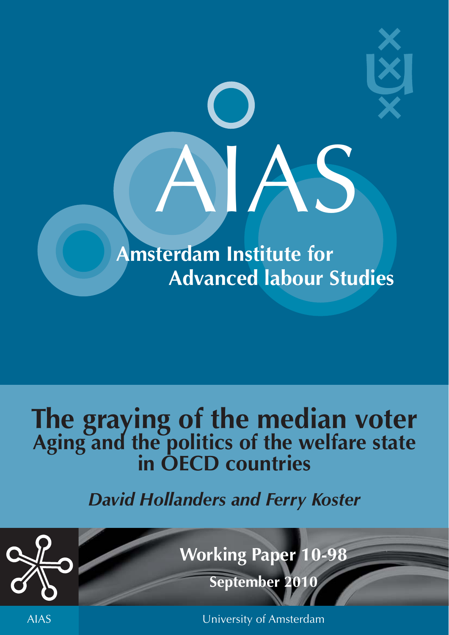

# **The graying of the median voter Aging and the politics of the welfare state in OECD countries**

### *David Hollanders and Ferry Koster*



**Working Paper 10-98**

**September 2010**

AIAS University of Amsterdam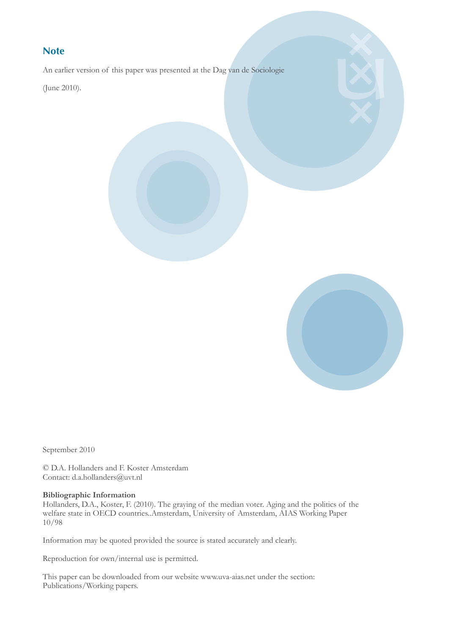#### **Note**

An earlier version of this paper was presented at the Dag van de Sociologie

(June 2010).



September 2010

© D.A. Hollanders and F. Koster Amsterdam Contact: d.a.hollanders@uvt.nl

#### **Bibliographic Information**

Hollanders, D.A., Koster, F. (2010). The graying of the median voter. Aging and the politics of the welfare state in OECD countries..Amsterdam, University of Amsterdam, AIAS Working Paper 10/98

Information may be quoted provided the source is stated accurately and clearly.

Reproduction for own/internal use is permitted.

This paper can be downloaded from our website www.uva-aias.net under the section: Publications/Working papers.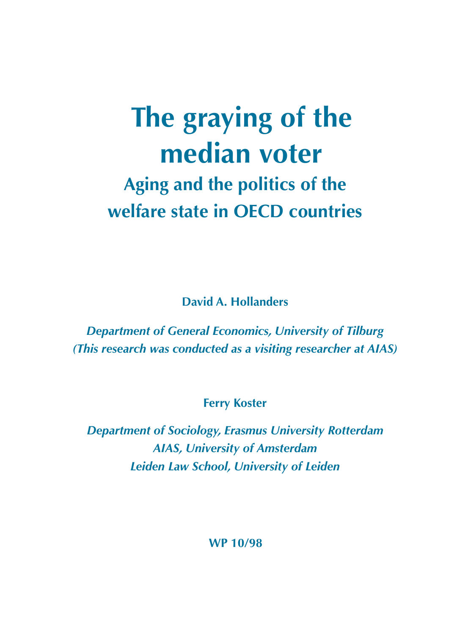## **The graying of the median voter Aging and the politics of the welfare state in OECD countries**

**David A. Hollanders**

*Department of General Economics, University of Tilburg (This research was conducted as a visiting researcher at AIAS)*

**Ferry Koster**

*Department of Sociology, Erasmus University Rotterdam AIAS, University of Amsterdam Leiden Law School, University of Leiden*

**WP 10/98**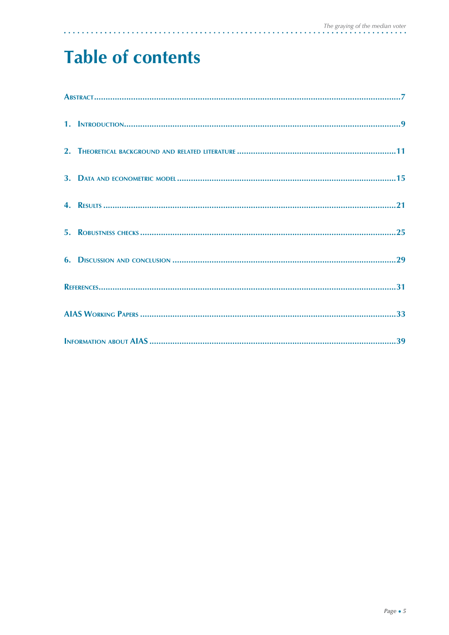### **Table of contents**

 $\mathbf{a}$  and  $\mathbf{a}$ 

 $\mathbb{Z}$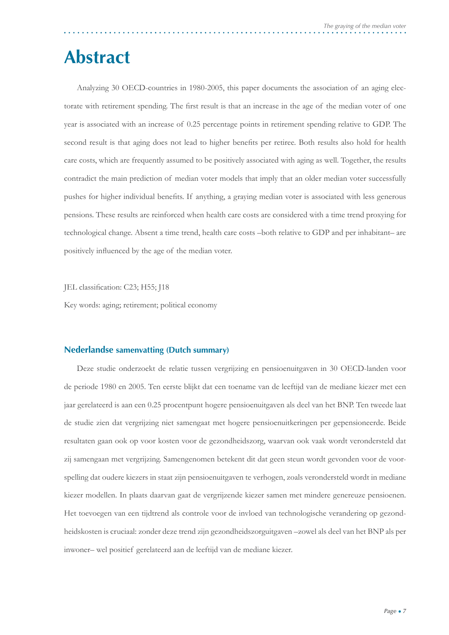### **Abstract**

Analyzing 30 OECD-countries in 1980-2005, this paper documents the association of an aging electorate with retirement spending. The first result is that an increase in the age of the median voter of one year is associated with an increase of 0.25 percentage points in retirement spending relative to GDP. The second result is that aging does not lead to higher benefits per retiree. Both results also hold for health care costs, which are frequently assumed to be positively associated with aging as well. Together, the results contradict the main prediction of median voter models that imply that an older median voter successfully pushes for higher individual benefits. If anything, a graying median voter is associated with less generous pensions. These results are reinforced when health care costs are considered with a time trend proxying for technological change. Absent a time trend, health care costs –both relative to GDP and per inhabitant– are positively influenced by the age of the median voter.

JEL classification: C23; H55; J18

Key words: aging; retirement; political economy

#### **Nederlandse samenvatting (Dutch summary)**

Deze studie onderzoekt de relatie tussen vergrijzing en pensioenuitgaven in 30 OECD-landen voor de periode 1980 en 2005. Ten eerste blijkt dat een toename van de leeftijd van de mediane kiezer met een jaar gerelateerd is aan een 0.25 procentpunt hogere pensioenuitgaven als deel van het BNP. Ten tweede laat de studie zien dat vergrijzing niet samengaat met hogere pensioenuitkeringen per gepensioneerde. Beide resultaten gaan ook op voor kosten voor de gezondheidszorg, waarvan ook vaak wordt verondersteld dat zij samengaan met vergrijzing. Samengenomen betekent dit dat geen steun wordt gevonden voor de voorspelling dat oudere kiezers in staat zijn pensioenuitgaven te verhogen, zoals verondersteld wordt in mediane kiezer modellen. In plaats daarvan gaat de vergrijzende kiezer samen met mindere genereuze pensioenen. Het toevoegen van een tijdtrend als controle voor de invloed van technologische verandering op gezondheidskosten is cruciaal: zonder deze trend zijn gezondheidszorguitgaven –zowel als deel van het BNP als per inwoner– wel positief gerelateerd aan de leeftijd van de mediane kiezer.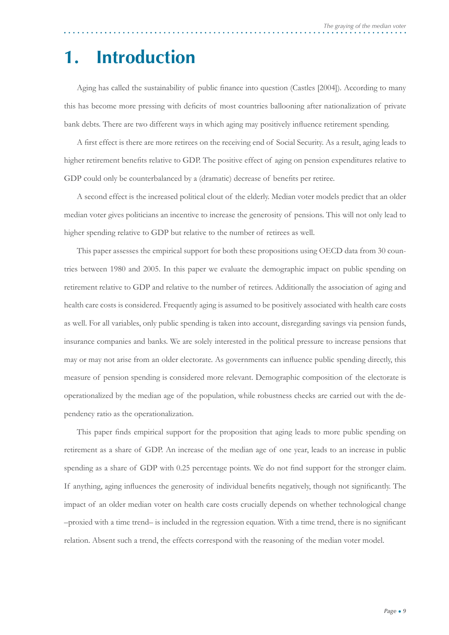### **1. Introduction**

Aging has called the sustainability of public finance into question (Castles [2004]). According to many this has become more pressing with deficits of most countries ballooning after nationalization of private bank debts. There are two different ways in which aging may positively influence retirement spending.

A first effect is there are more retirees on the receiving end of Social Security. As a result, aging leads to higher retirement benefits relative to GDP. The positive effect of aging on pension expenditures relative to GDP could only be counterbalanced by a (dramatic) decrease of benefits per retiree.

A second effect is the increased political clout of the elderly. Median voter models predict that an older median voter gives politicians an incentive to increase the generosity of pensions. This will not only lead to higher spending relative to GDP but relative to the number of retirees as well.

This paper assesses the empirical support for both these propositions using OECD data from 30 countries between 1980 and 2005. In this paper we evaluate the demographic impact on public spending on retirement relative to GDP and relative to the number of retirees. Additionally the association of aging and health care costs is considered. Frequently aging is assumed to be positively associated with health care costs as well. For all variables, only public spending is taken into account, disregarding savings via pension funds, insurance companies and banks. We are solely interested in the political pressure to increase pensions that may or may not arise from an older electorate. As governments can influence public spending directly, this measure of pension spending is considered more relevant. Demographic composition of the electorate is operationalized by the median age of the population, while robustness checks are carried out with the dependency ratio as the operationalization.

This paper finds empirical support for the proposition that aging leads to more public spending on retirement as a share of GDP. An increase of the median age of one year, leads to an increase in public spending as a share of GDP with 0.25 percentage points. We do not find support for the stronger claim. If anything, aging influences the generosity of individual benefits negatively, though not significantly. The impact of an older median voter on health care costs crucially depends on whether technological change  $-proxied$  with a time trend– is included in the regression equation. With a time trend, there is no significant relation. Absent such a trend, the effects correspond with the reasoning of the median voter model.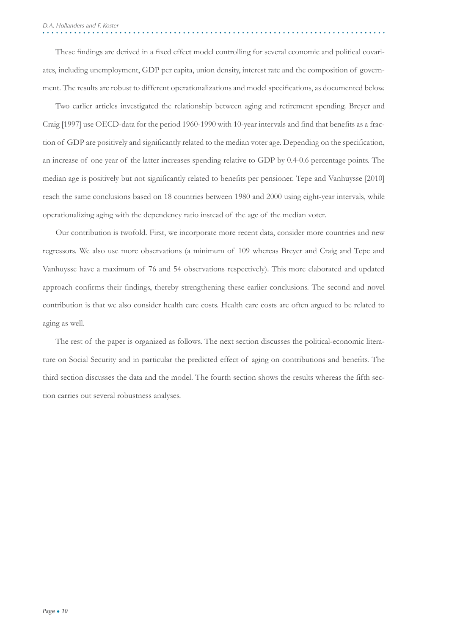These findings are derived in a fixed effect model controlling for several economic and political covariates, including unemployment, GDP per capita, union density, interest rate and the composition of government. The results are robust to different operationalizations and model specifications, as documented below.

Two earlier articles investigated the relationship between aging and retirement spending. Breyer and Craig [1997] use OECD-data for the period 1960-1990 with 10-year intervals and find that benefits as a fraction of GDP are positively and significantly related to the median voter age. Depending on the specification, an increase of one year of the latter increases spending relative to GDP by 0.4-0.6 percentage points. The median age is positively but not significantly related to benefits per pensioner. Tepe and Vanhuysse [2010] reach the same conclusions based on 18 countries between 1980 and 2000 using eight-year intervals, while operationalizing aging with the dependency ratio instead of the age of the median voter.

Our contribution is twofold. First, we incorporate more recent data, consider more countries and new regressors. We also use more observations (a minimum of 109 whereas Breyer and Craig and Tepe and Vanhuysse have a maximum of 76 and 54 observations respectively). This more elaborated and updated approach confirms their findings, thereby strengthening these earlier conclusions. The second and novel contribution is that we also consider health care costs. Health care costs are often argued to be related to aging as well.

The rest of the paper is organized as follows. The next section discusses the political-economic literature on Social Security and in particular the predicted effect of aging on contributions and benefits. The third section discusses the data and the model. The fourth section shows the results whereas the fifth section carries out several robustness analyses.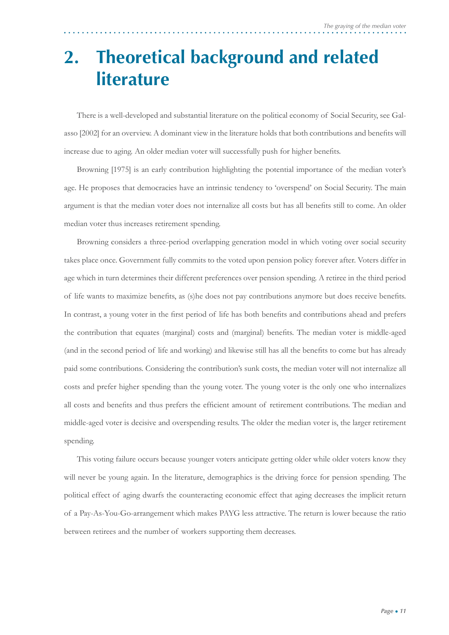### **2. Theoretical background and related literature**

There is a well-developed and substantial literature on the political economy of Social Security, see Galasso [2002] for an overview. A dominant view in the literature holds that both contributions and benefits will increase due to aging. An older median voter will successfully push for higher benefits.

Browning [1975] is an early contribution highlighting the potential importance of the median voter's age. He proposes that democracies have an intrinsic tendency to 'overspend' on Social Security. The main argument is that the median voter does not internalize all costs but has all benefits still to come. An older median voter thus increases retirement spending.

Browning considers a three-period overlapping generation model in which voting over social security takes place once. Government fully commits to the voted upon pension policy forever after. Voters differ in age which in turn determines their different preferences over pension spending. A retiree in the third period of life wants to maximize benefits, as (s)he does not pay contributions anymore but does receive benefits. In contrast, a young voter in the first period of life has both benefits and contributions ahead and prefers the contribution that equates (marginal) costs and (marginal) benefits. The median voter is middle-aged (and in the second period of life and working) and likewise still has all the benefits to come but has already paid some contributions. Considering the contribution's sunk costs, the median voter will not internalize all costs and prefer higher spending than the young voter. The young voter is the only one who internalizes all costs and benefits and thus prefers the efficient amount of retirement contributions. The median and middle-aged voter is decisive and overspending results. The older the median voter is, the larger retirement spending.

This voting failure occurs because younger voters anticipate getting older while older voters know they will never be young again. In the literature, demographics is the driving force for pension spending. The political effect of aging dwarfs the counteracting economic effect that aging decreases the implicit return of a Pay-As-You-Go-arrangement which makes PAYG less attractive. The return is lower because the ratio between retirees and the number of workers supporting them decreases.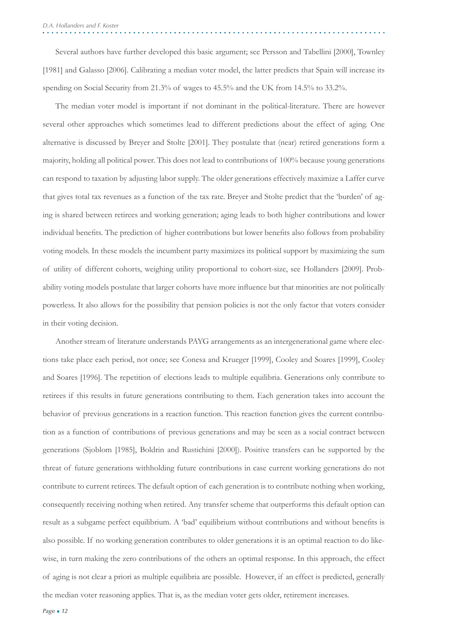Several authors have further developed this basic argument; see Persson and Tabellini [2000], Townley [1981] and Galasso [2006]. Calibrating a median voter model, the latter predicts that Spain will increase its spending on Social Security from 21.3% of wages to 45.5% and the UK from 14.5% to 33.2%.

The median voter model is important if not dominant in the political-literature. There are however several other approaches which sometimes lead to different predictions about the effect of aging. One alternative is discussed by Breyer and Stolte [2001]. They postulate that (near) retired generations form a majority, holding all political power. This does not lead to contributions of 100% because young generations can respond to taxation by adjusting labor supply. The older generations effectively maximize a Laffer curve that gives total tax revenues as a function of the tax rate. Breyer and Stolte predict that the 'burden' of aging is shared between retirees and working generation; aging leads to both higher contributions and lower individual benefits. The prediction of higher contributions but lower benefits also follows from probability voting models. In these models the incumbent party maximizes its political support by maximizing the sum of utility of different cohorts, weighing utility proportional to cohort-size, see Hollanders [2009]. Probability voting models postulate that larger cohorts have more influence but that minorities are not politically powerless. It also allows for the possibility that pension policies is not the only factor that voters consider in their voting decision.

Another stream of literature understands PAYG arrangements as an intergenerational game where elections take place each period, not once; see Conesa and Krueger [1999], Cooley and Soares [1999], Cooley and Soares [1996]. The repetition of elections leads to multiple equilibria. Generations only contribute to retirees if this results in future generations contributing to them. Each generation takes into account the behavior of previous generations in a reaction function. This reaction function gives the current contribution as a function of contributions of previous generations and may be seen as a social contract between generations (Sjoblom [1985], Boldrin and Rustichini [2000]). Positive transfers can be supported by the threat of future generations withholding future contributions in case current working generations do not contribute to current retirees. The default option of each generation is to contribute nothing when working, consequently receiving nothing when retired. Any transfer scheme that outperforms this default option can result as a subgame perfect equilibrium. A 'bad' equilibrium without contributions and without benefits is also possible. If no working generation contributes to older generations it is an optimal reaction to do likewise, in turn making the zero contributions of the others an optimal response. In this approach, the effect of aging is not clear a priori as multiple equilibria are possible. However, if an effect is predicted, generally the median voter reasoning applies. That is, as the median voter gets older, retirement increases.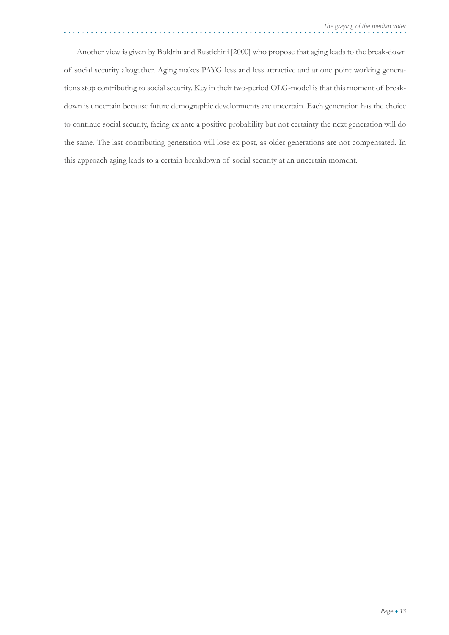Another view is given by Boldrin and Rustichini [2000] who propose that aging leads to the break-down of social security altogether. Aging makes PAYG less and less attractive and at one point working generations stop contributing to social security. Key in their two-period OLG-model is that this moment of breakdown is uncertain because future demographic developments are uncertain. Each generation has the choice to continue social security, facing ex ante a positive probability but not certainty the next generation will do the same. The last contributing generation will lose ex post, as older generations are not compensated. In this approach aging leads to a certain breakdown of social security at an uncertain moment.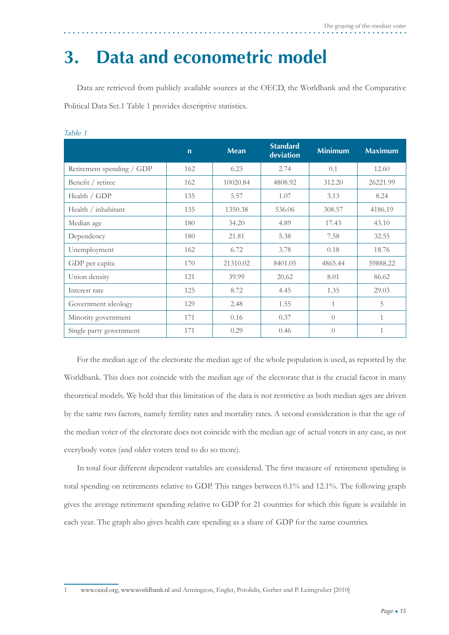### **3. Data and econometric model**

Data are retrieved from publicly available sources at the OECD, the Worldbank and the Comparative Political Data Set.1 Table 1 provides descriptive statistics.

|                           | $\mathbf n$ | <b>Mean</b> | <b>Standard</b><br>deviation | <b>Minimum</b> | <b>Maximum</b> |
|---------------------------|-------------|-------------|------------------------------|----------------|----------------|
| Retirement spending / GDP | 162         | 6.23        | 2.74                         | 0.1            | 12.60          |
| Benefit / retiree         | 162         | 10020.84    | 4808.92                      | 312.20         | 26221.99       |
| Health / GDP              | 135         | 5.57        | 1.07                         | 3.13           | 8.24           |
| Health / inhabitant       | 135         | 1350.38     | 536.06                       | 308.57         | 4186.19        |
| Median age                | 180         | 34.20       | 4.89                         | 17.43          | 43.10          |
| Dependency                | 180         | 21.81       | 5.38                         | 7.58           | 32.55          |
| Unemployment              | 162         | 6.72        | 3.78                         | 0.18           | 18.76          |
| GDP per capita            | 170         | 21310.02    | 8401.05                      | 4865.44        | 59888.22       |
| Union density             | 121         | 39.99       | 20.62                        | 8.01           | 86.62          |
| Interest rate             | 125         | 8.72        | 4.45                         | 1.35           | 29.03          |
| Government ideology       | 129         | 2.48        | 1.55                         | 1              | 5              |
| Minority government       | 171         | 0.16        | 0.37                         | $\bigcap$      | 1              |
| Single party government   | 171         | 0.29        | 0.46                         | $\bigcirc$     | $\mathbf{1}$   |

*Table 1*

For the median age of the electorate the median age of the whole population is used, as reported by the Worldbank. This does not coincide with the median age of the electorate that is the crucial factor in many theoretical models. We hold that this limitation of the data is not restrictive as both median ages are driven by the same two factors, namely fertility rates and mortality rates. A second consideration is that the age of the median voter of the electorate does not coincide with the median age of actual voters in any case, as not everybody votes (and older voters tend to do so more).

In total four different dependent variables are considered. The first measure of retirement spending is total spending on retirements relative to GDP. This ranges between 0.1% and 12.1%. The following graph gives the average retirement spending relative to GDP for 21 countries for which this figure is available in each year. The graph also gives health care spending as a share of GDP for the same countries.

<sup>1</sup> www.oecd.org, www.worldbank.nl and Armingeon, Engler, Potolidis, Gerber and P. Leimgruber [2010]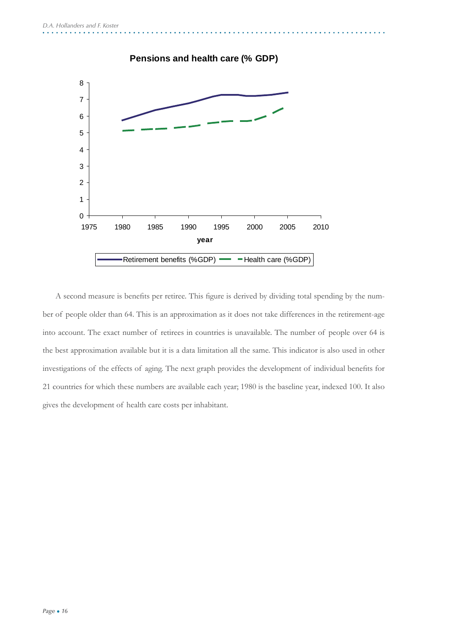

A second measure is benefits per retiree. This figure is derived by dividing total spending by the number of people older than 64. This is an approximation as it does not take differences in the retirement-age into account. The exact number of retirees in countries is unavailable. The number of people over 64 is the best approximation available but it is a data limitation all the same. This indicator is also used in other investigations of the effects of aging. The next graph provides the development of individual benefits for 21 countries for which these numbers are available each year; 1980 is the baseline year, indexed 100. It also gives the development of health care costs per inhabitant.

### **Pensions and health care (% GDP)**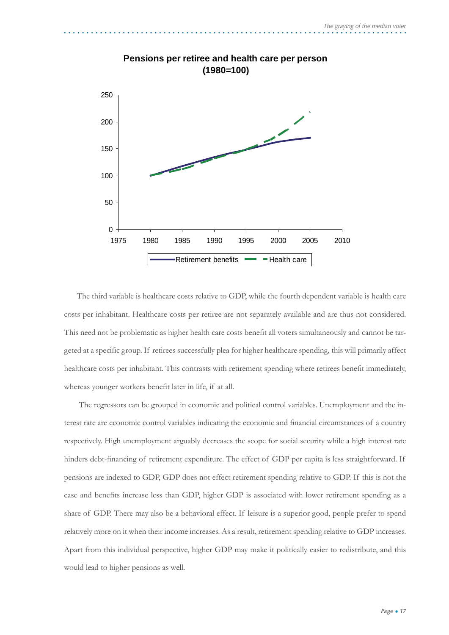

#### **Pensions per retiree and health care per person (1980=100)**

The third variable is healthcare costs relative to GDP, while the fourth dependent variable is health care costs per inhabitant. Healthcare costs per retiree are not separately available and are thus not considered. This need not be problematic as higher health care costs benefi t all voters simultaneously and cannot be targeted at a specific group. If retirees successfully plea for higher healthcare spending, this will primarily affect healthcare costs per inhabitant. This contrasts with retirement spending where retirees benefit immediately, whereas younger workers benefit later in life, if at all.

 The regressors can be grouped in economic and political control variables. Unemployment and the interest rate are economic control variables indicating the economic and financial circumstances of a country respectively. High unemployment arguably decreases the scope for social security while a high interest rate hinders debt-financing of retirement expenditure. The effect of GDP per capita is less straightforward. If pensions are indexed to GDP, GDP does not effect retirement spending relative to GDP. If this is not the case and benefits increase less than GDP, higher GDP is associated with lower retirement spending as a share of GDP. There may also be a behavioral effect. If leisure is a superior good, people prefer to spend relatively more on it when their income increases. As a result, retirement spending relative to GDP increases. Apart from this individual perspective, higher GDP may make it politically easier to redistribute, and this would lead to higher pensions as well.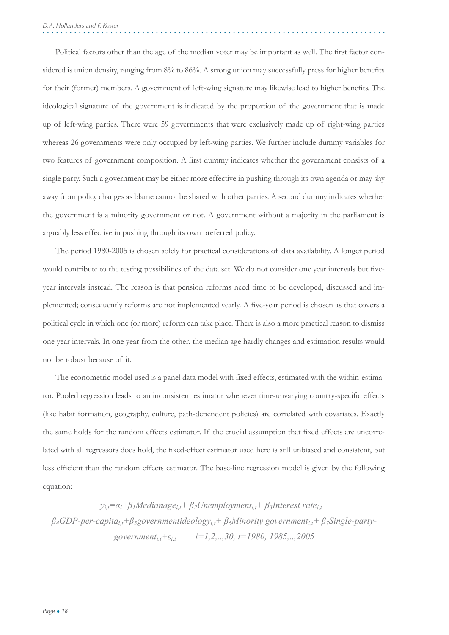Political factors other than the age of the median voter may be important as well. The first factor considered is union density, ranging from 8% to 86%. A strong union may successfully press for higher benefits for their (former) members. A government of left-wing signature may likewise lead to higher benefits. The ideological signature of the government is indicated by the proportion of the government that is made up of left-wing parties. There were 59 governments that were exclusively made up of right-wing parties whereas 26 governments were only occupied by left-wing parties. We further include dummy variables for two features of government composition. A first dummy indicates whether the government consists of a single party. Such a government may be either more effective in pushing through its own agenda or may shy away from policy changes as blame cannot be shared with other parties. A second dummy indicates whether the government is a minority government or not. A government without a majority in the parliament is arguably less effective in pushing through its own preferred policy.

The period 1980-2005 is chosen solely for practical considerations of data availability. A longer period would contribute to the testing possibilities of the data set. We do not consider one year intervals but fiveyear intervals instead. The reason is that pension reforms need time to be developed, discussed and implemented; consequently reforms are not implemented yearly. A five-year period is chosen as that covers a political cycle in which one (or more) reform can take place. There is also a more practical reason to dismiss one year intervals. In one year from the other, the median age hardly changes and estimation results would not be robust because of it.

The econometric model used is a panel data model with fixed effects, estimated with the within-estimator. Pooled regression leads to an inconsistent estimator whenever time-unvarying country-specifi c effects (like habit formation, geography, culture, path-dependent policies) are correlated with covariates. Exactly the same holds for the random effects estimator. If the crucial assumption that fixed effects are uncorrelated with all regressors does hold, the fixed-effect estimator used here is still unbiased and consistent, but less efficient than the random effects estimator. The base-line regression model is given by the following equation:

 $y_{i,t} = \alpha_i + \beta_i$ *Medianage*<sub>i,t</sub> +  $\beta_2$ *Unemployment<sub>i,t</sub></sub> +*  $\beta_3$ *Interest rate*<sub>i,t</sub> + *β4GDP-per-capitai,t+β5governmentideologyi,t+ β6Minority governmenti,t+ β7Single-partygovernmenti,t+εi,t i=1,2,..,30, t=1980, 1985,..,2005*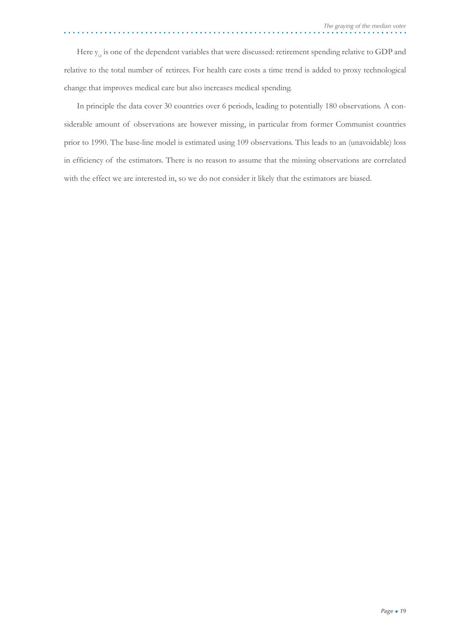Here  $y_{i,t}$  is one of the dependent variables that were discussed: retirement spending relative to GDP and relative to the total number of retirees. For health care costs a time trend is added to proxy technological change that improves medical care but also increases medical spending.

In principle the data cover 30 countries over 6 periods, leading to potentially 180 observations. A considerable amount of observations are however missing, in particular from former Communist countries prior to 1990. The base-line model is estimated using 109 observations. This leads to an (unavoidable) loss in efficiency of the estimators. There is no reason to assume that the missing observations are correlated with the effect we are interested in, so we do not consider it likely that the estimators are biased.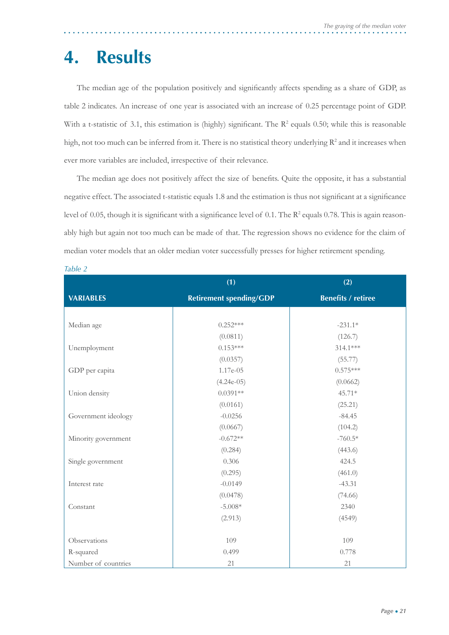### **4. Results**

The median age of the population positively and significantly affects spending as a share of GDP, as table 2 indicates. An increase of one year is associated with an increase of 0.25 percentage point of GDP. With a t-statistic of 3.1, this estimation is (highly) significant. The  $\mathbb{R}^2$  equals 0.50; while this is reasonable high, not too much can be inferred from it. There is no statistical theory underlying  $\mathbb{R}^2$  and it increases when ever more variables are included, irrespective of their relevance.

The median age does not positively affect the size of benefits. Quite the opposite, it has a substantial negative effect. The associated t-statistic equals 1.8 and the estimation is thus not significant at a significance level of 0.05, though it is significant with a significance level of 0.1. The R<sup>2</sup> equals 0.78. This is again reasonably high but again not too much can be made of that. The regression shows no evidence for the claim of median voter models that an older median voter successfully presses for higher retirement spending.

|                     | (1)                            | (2)                       |  |
|---------------------|--------------------------------|---------------------------|--|
| <b>VARIABLES</b>    | <b>Retirement spending/GDP</b> | <b>Benefits / retiree</b> |  |
|                     |                                |                           |  |
| Median age          | $0.252***$                     | $-231.1*$                 |  |
|                     | (0.0811)                       | (126.7)                   |  |
| Unemployment        | $0.153***$                     | 314.1***                  |  |
|                     | (0.0357)                       | (55.77)                   |  |
| GDP per capita      | 1.17e-05                       | $0.575***$                |  |
|                     | $(4.24e-05)$                   | (0.0662)                  |  |
| Union density       | $0.0391**$                     | 45.71*                    |  |
|                     | (0.0161)                       | (25.21)                   |  |
| Government ideology | $-0.0256$                      | $-84.45$                  |  |
|                     | (0.0667)                       | (104.2)                   |  |
| Minority government | $-0.672**$                     | $-760.5*$                 |  |
|                     | (0.284)                        | (443.6)                   |  |
| Single government   | 0.306                          | 424.5                     |  |
|                     | (0.295)                        | (461.0)                   |  |
| Interest rate       | $-0.0149$                      | $-43.31$                  |  |
|                     | (0.0478)                       | (74.66)                   |  |
| Constant            | $-5.008*$                      | 2340                      |  |
|                     | (2.913)                        | (4549)                    |  |
|                     |                                |                           |  |
| Observations        | 109                            | 109                       |  |
| R-squared           | 0.499                          | 0.778                     |  |
| Number of countries | 21                             | 21                        |  |

*Table 2*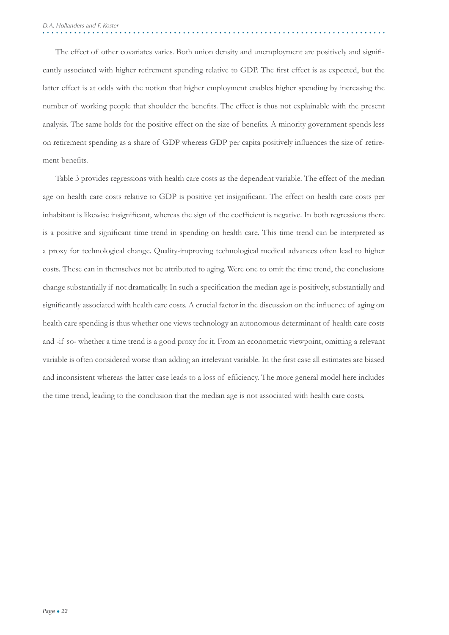The effect of other covariates varies. Both union density and unemployment are positively and significantly associated with higher retirement spending relative to GDP. The first effect is as expected, but the latter effect is at odds with the notion that higher employment enables higher spending by increasing the number of working people that shoulder the benefits. The effect is thus not explainable with the present analysis. The same holds for the positive effect on the size of benefits. A minority government spends less on retirement spending as a share of GDP whereas GDP per capita positively influences the size of retirement benefits.

Table 3 provides regressions with health care costs as the dependent variable. The effect of the median age on health care costs relative to GDP is positive yet insignificant. The effect on health care costs per inhabitant is likewise insignificant, whereas the sign of the coefficient is negative. In both regressions there is a positive and significant time trend in spending on health care. This time trend can be interpreted as a proxy for technological change. Quality-improving technological medical advances often lead to higher costs. These can in themselves not be attributed to aging. Were one to omit the time trend, the conclusions change substantially if not dramatically. In such a specification the median age is positively, substantially and significantly associated with health care costs. A crucial factor in the discussion on the influence of aging on health care spending is thus whether one views technology an autonomous determinant of health care costs and -if so- whether a time trend is a good proxy for it. From an econometric viewpoint, omitting a relevant variable is often considered worse than adding an irrelevant variable. In the first case all estimates are biased and inconsistent whereas the latter case leads to a loss of efficiency. The more general model here includes the time trend, leading to the conclusion that the median age is not associated with health care costs.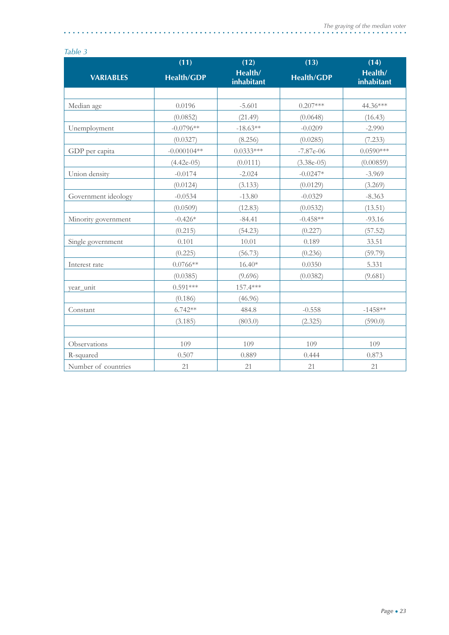$\mathbf{A}$ 

#### *Table 3*

|                     | (11)              | (12)                  | (13)              | (14)                  |
|---------------------|-------------------|-----------------------|-------------------|-----------------------|
| <b>VARIABLES</b>    | <b>Health/GDP</b> | Health/<br>inhabitant | <b>Health/GDP</b> | Health/<br>inhabitant |
|                     |                   |                       |                   |                       |
| Median age          | 0.0196            | $-5.601$              | $0.207***$        | 44.36***              |
|                     | (0.0852)          | (21.49)               | (0.0648)          | (16.43)               |
| Unemployment        | $-0.0796**$       | $-18.63**$            | $-0.0209$         | $-2.990$              |
|                     | (0.0327)          | (8.256)               | (0.0285)          | (7.233)               |
| GDP per capita      | $-0.000104**$     | $0.0333***$           | $-7.87e-06$       | $0.0590***$           |
|                     | $(4.42e-05)$      | (0.0111)              | $(3.38e-05)$      | (0.00859)             |
| Union density       | $-0.0174$         | $-2.024$              | $-0.0247*$        | $-3.969$              |
|                     | (0.0124)          | (3.133)               | (0.0129)          | (3.269)               |
| Government ideology | $-0.0534$         | $-13.80$              | $-0.0329$         | $-8.363$              |
|                     | (0.0509)          | (12.83)               | (0.0532)          | (13.51)               |
| Minority government | $-0.426*$         | $-84.41$              | $-0.458**$        | $-93.16$              |
|                     | (0.215)           | (54.23)               | (0.227)           | (57.52)               |
| Single government   | 0.101             | 10.01                 | 0.189             | 33.51                 |
|                     | (0.225)           | (56.73)               | (0.236)           | (59.79)               |
| Interest rate       | $0.0766**$        | $16.40*$              | 0.0350            | 5.331                 |
|                     | (0.0385)          | (9.696)               | (0.0382)          | (9.681)               |
| year_unit           | $0.591***$        | 157.4***              |                   |                       |
|                     | (0.186)           | (46.96)               |                   |                       |
| Constant            | $6.742**$         | 484.8                 | $-0.558$          | $-1458**$             |
|                     | (3.185)           | (803.0)               | (2.325)           | (590.0)               |
|                     |                   |                       |                   |                       |
| Observations        | 109               | 109                   | 109               | 109                   |
| R-squared           | 0.507             | 0.889                 | 0.444             | 0.873                 |
| Number of countries | 21                | 21                    | 21                | 21                    |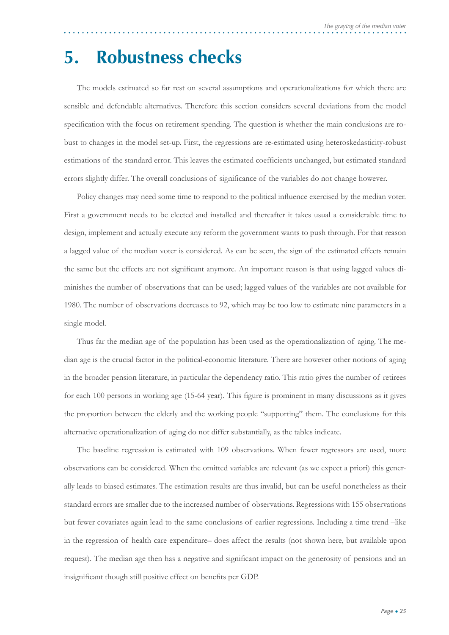### **5. Robustness checks**

The models estimated so far rest on several assumptions and operationalizations for which there are sensible and defendable alternatives. Therefore this section considers several deviations from the model specification with the focus on retirement spending. The question is whether the main conclusions are robust to changes in the model set-up. First, the regressions are re-estimated using heteroskedasticity-robust estimations of the standard error. This leaves the estimated coefficients unchanged, but estimated standard errors slightly differ. The overall conclusions of significance of the variables do not change however.

Policy changes may need some time to respond to the political influence exercised by the median voter. First a government needs to be elected and installed and thereafter it takes usual a considerable time to design, implement and actually execute any reform the government wants to push through. For that reason a lagged value of the median voter is considered. As can be seen, the sign of the estimated effects remain the same but the effects are not significant anymore. An important reason is that using lagged values diminishes the number of observations that can be used; lagged values of the variables are not available for 1980. The number of observations decreases to 92, which may be too low to estimate nine parameters in a single model.

Thus far the median age of the population has been used as the operationalization of aging. The median age is the crucial factor in the political-economic literature. There are however other notions of aging in the broader pension literature, in particular the dependency ratio. This ratio gives the number of retirees for each 100 persons in working age (15-64 year). This figure is prominent in many discussions as it gives the proportion between the elderly and the working people "supporting" them. The conclusions for this alternative operationalization of aging do not differ substantially, as the tables indicate.

The baseline regression is estimated with 109 observations. When fewer regressors are used, more observations can be considered. When the omitted variables are relevant (as we expect a priori) this generally leads to biased estimates. The estimation results are thus invalid, but can be useful nonetheless as their standard errors are smaller due to the increased number of observations. Regressions with 155 observations but fewer covariates again lead to the same conclusions of earlier regressions. Including a time trend –like in the regression of health care expenditure– does affect the results (not shown here, but available upon request). The median age then has a negative and significant impact on the generosity of pensions and an insignificant though still positive effect on benefits per GDP.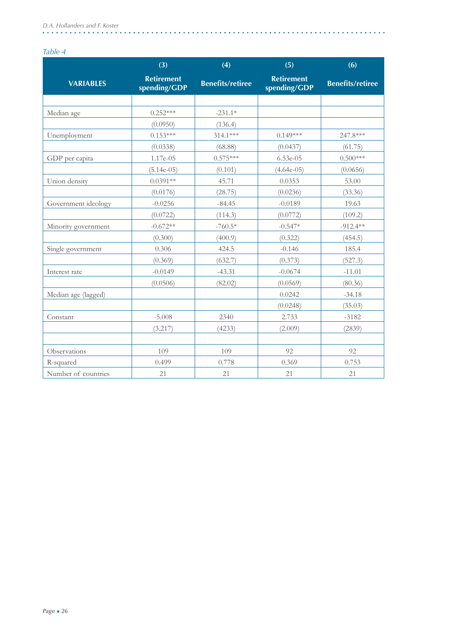#### *Table 4*

|                     | (3)                               | (4)                     | (5)                               | (6)                     |
|---------------------|-----------------------------------|-------------------------|-----------------------------------|-------------------------|
| <b>VARIABLES</b>    | <b>Retirement</b><br>spending/GDP | <b>Benefits/retiree</b> | <b>Retirement</b><br>spending/GDP | <b>Benefits/retiree</b> |
|                     |                                   |                         |                                   |                         |
| Median age          | $0.252***$                        | $-231.1*$               |                                   |                         |
|                     | (0.0950)                          | (136.4)                 |                                   |                         |
| Unemployment        | $0.153***$                        | 314.1***                | $0.149***$                        | 247.8***                |
|                     | (0.0338)                          | (68.88)                 | (0.0437)                          | (61.75)                 |
| GDP per capita      | 1.17e-05                          | $0.575***$              | $6.53e-05$                        | $0.500***$              |
|                     | $(5.14e-05)$                      | (0.101)                 | $(4.64e-05)$                      | (0.0656)                |
| Union density       | $0.0391**$                        | 45.71                   | 0.0353                            | 53.00                   |
|                     | (0.0176)                          | (28.75)                 | (0.0236)                          | (33.36)                 |
| Government ideology | $-0.0256$                         | $-84.45$                | $-0.0189$                         | 19.63                   |
|                     | (0.0722)                          | (114.3)                 | (0.0772)                          | (109.2)                 |
| Minority government | $-0.672**$                        | $-760.5*$               | $-0.547*$                         | $-912.4**$              |
|                     | (0.300)                           | (400.9)                 | (0.322)                           | (454.5)                 |
| Single government   | 0.306                             | 424.5                   | $-0.146$                          | 185.4                   |
|                     | (0.369)                           | (632.7)                 | (0.373)                           | (527.3)                 |
| Interest rate       | $-0.0149$                         | $-43.31$                | $-0.0674$                         | $-11.01$                |
|                     | (0.0506)                          | (82.02)                 | (0.0569)                          | (80.36)                 |
| Median age (lagged) |                                   |                         | 0.0242                            | $-34.18$                |
|                     |                                   |                         | (0.0248)                          | (35.03)                 |
| Constant            | $-5.008$                          | 2340                    | 2.733                             | $-3182$                 |
|                     | (3.217)                           | (4233)                  | (2.009)                           | (2839)                  |
|                     |                                   |                         |                                   |                         |
| Observations        | 109                               | 109                     | 92                                | 92                      |
| R-squared           | 0.499                             | 0.778                   | 0.369                             | 0.753                   |
| Number of countries | 21                                | 21                      | 21                                | 21                      |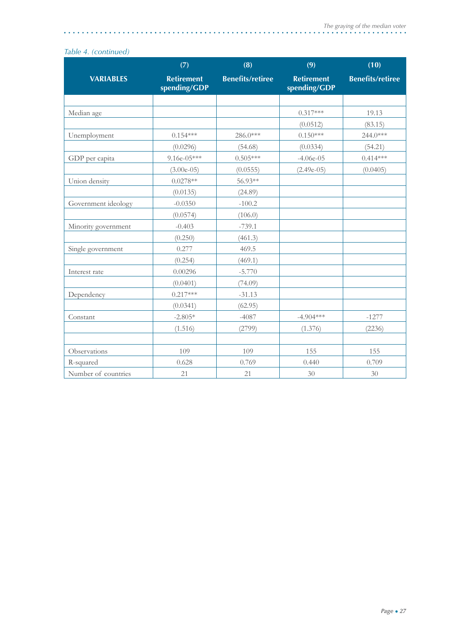#### *Table 4. (continued)*

|                     | (7)                               | (8)                     | (9)                               | (10)                    |
|---------------------|-----------------------------------|-------------------------|-----------------------------------|-------------------------|
| <b>VARIABLES</b>    | <b>Retirement</b><br>spending/GDP | <b>Benefits/retiree</b> | <b>Retirement</b><br>spending/GDP | <b>Benefits/retiree</b> |
|                     |                                   |                         |                                   |                         |
| Median age          |                                   |                         | $0.317***$                        | 19.13                   |
|                     |                                   |                         | (0.0512)                          | (83.15)                 |
| Unemployment        | $0.154***$                        | 286.0***                | $0.150***$                        | 244.0***                |
|                     | (0.0296)                          | (54.68)                 | (0.0334)                          | (54.21)                 |
| GDP per capita      | $9.16e-05***$                     | $0.505***$              | $-4.06e-05$                       | $0.414***$              |
|                     | $(3.00e-05)$                      | (0.0555)                | $(2.49e-05)$                      | (0.0405)                |
| Union density       | $0.0278**$                        | 56.93**                 |                                   |                         |
|                     | (0.0135)                          | (24.89)                 |                                   |                         |
| Government ideology | $-0.0350$                         | $-100.2$                |                                   |                         |
|                     | (0.0574)                          | (106.0)                 |                                   |                         |
| Minority government | $-0.403$                          | $-739.1$                |                                   |                         |
|                     | (0.250)                           | (461.3)                 |                                   |                         |
| Single government   | 0.277                             | 469.5                   |                                   |                         |
|                     | (0.254)                           | (469.1)                 |                                   |                         |
| Interest rate       | 0.00296                           | $-5.770$                |                                   |                         |
|                     | (0.0401)                          | (74.09)                 |                                   |                         |
| Dependency          | $0.217***$                        | $-31.13$                |                                   |                         |
|                     | (0.0341)                          | (62.95)                 |                                   |                         |
| Constant            | $-2.805*$                         | $-4087$                 | $-4.904***$                       | $-1277$                 |
|                     | (1.516)                           | (2799)                  | (1.376)                           | (2236)                  |
|                     |                                   |                         |                                   |                         |
| Observations        | 109                               | 109                     | 155                               | 155                     |
| R-squared           | 0.628                             | 0.769                   | 0.440                             | 0.709                   |
| Number of countries | 21                                | 21                      | 30                                | 30                      |

L.

 $\ddot{\phantom{a}}$  $\ddot{\phantom{a}}$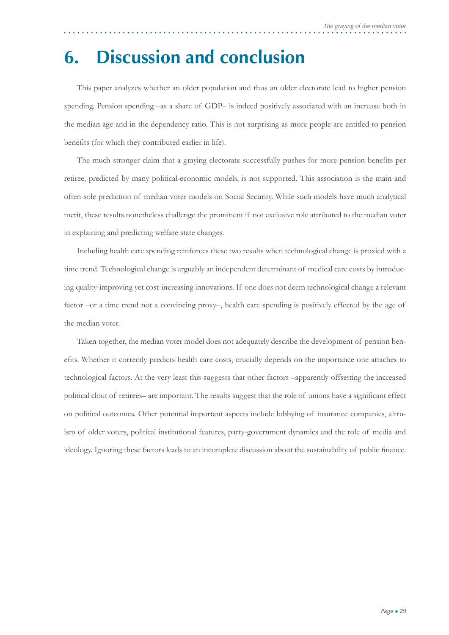### **6. Discussion and conclusion**

This paper analyzes whether an older population and thus an older electorate lead to higher pension spending. Pension spending –as a share of GDP– is indeed positively associated with an increase both in the median age and in the dependency ratio. This is not surprising as more people are entitled to pension benefits (for which they contributed earlier in life).

The much stronger claim that a graying electorate successfully pushes for more pension benefits per retiree, predicted by many political-economic models, is not supported. This association is the main and often sole prediction of median voter models on Social Security. While such models have much analytical merit, these results nonetheless challenge the prominent if not exclusive role attributed to the median voter in explaining and predicting welfare state changes.

Including health care spending reinforces these two results when technological change is proxied with a time trend. Technological change is arguably an independent determinant of medical care costs by introducing quality-improving yet cost-increasing innovations. If one does not deem technological change a relevant factor –or a time trend not a convincing proxy–, health care spending is positively effected by the age of the median voter.

Taken together, the median voter model does not adequately describe the development of pension benefits. Whether it correctly predicts health care costs, crucially depends on the importance one attaches to technological factors. At the very least this suggests that other factors –apparently offsetting the increased political clout of retirees– are important. The results suggest that the role of unions have a significant effect on political outcomes. Other potential important aspects include lobbying of insurance companies, altruism of older voters, political institutional features, party-government dynamics and the role of media and ideology. Ignoring these factors leads to an incomplete discussion about the sustainability of public finance.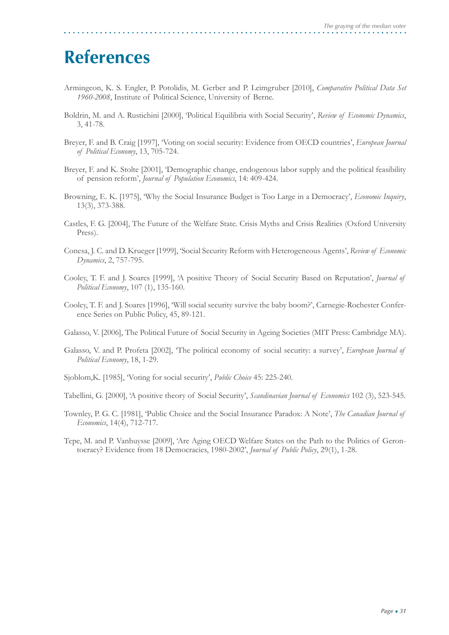### **References**

- Armingeon, K. S. Engler, P. Potolidis, M. Gerber and P. Leimgruber [2010], *Comparative Political Data Set 1960-2008*, Institute of Political Science, University of Berne.
- Boldrin, M. and A. Rustichini [2000], 'Political Equilibria with Social Security', *Review of Economic Dynamics*, 3, 41-78.
- Breyer, F. and B. Craig [1997], 'Voting on social security: Evidence from OECD countries', *European Journal of Political Economy*, 13, 705-724.
- Breyer, F. and K. Stolte [2001], 'Demographic change, endogenous labor supply and the political feasibility of pension reform', *Journal of Population Economics*, 14: 409-424.
- Browning, E. K. [1975], 'Why the Social Insurance Budget is Too Large in a Democracy', *Economic Inquiry*, 13(3), 373-388.
- Castles, F. G. [2004], The Future of the Welfare State. Crisis Myths and Crisis Realities (Oxford University Press).
- Conesa, J. C. and D. Krueger [1999], 'Social Security Reform with Heterogeneous Agents', *Review of Economic Dynamics*, 2, 757-795.
- Cooley, T. F. and J. Soares [1999], 'A positive Theory of Social Security Based on Reputation', *Journal of Political Economy*, 107 (1), 135-160.
- Cooley, T. F. and J. Soares [1996], 'Will social security survive the baby boom?', Carnegie-Rochester Conference Series on Public Policy, 45, 89-121.

Galasso, V. [2006], The Political Future of Social Security in Ageing Societies (MIT Press: Cambridge MA).

- Galasso, V. and P. Profeta [2002], 'The political economy of social security: a survey', *European Journal of Political Economy*, 18, 1-29.
- Sjoblom,K. [1985], 'Voting for social security', *Public Choice* 45: 225-240.
- Tabellini, G. [2000], 'A positive theory of Social Security', *Scandinavian Journal of Economics* 102 (3), 523-545.
- Townley, P. G. C. [1981], 'Public Choice and the Social Insurance Paradox: A Note', *The Canadian Journal of Economics*, 14(4), 712-717.
- Tepe, M. and P. Vanhuysse [2009], 'Are Aging OECD Welfare States on the Path to the Politics of Gerontocracy? Evidence from 18 Democracies, 1980-2002', *Journal of Public Policy*, 29(1), 1-28.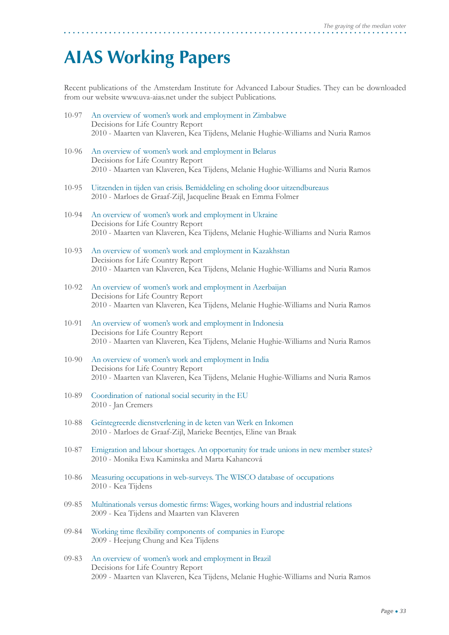### **AIAS Working Papers**

Recent publications of the Amsterdam Institute for Advanced Labour Studies. They can be downloaded from our website www.uva-aias.net under the subject Publications.

- 10-97 An overview of women's work and employment in Zimbabwe Decisions for Life Country Report 2010 - Maarten van Klaveren, Kea Tijdens, Melanie Hughie-Williams and Nuria Ramos
- 10-96 An overview of women's work and employment in Belarus Decisions for Life Country Report 2010 - Maarten van Klaveren, Kea Tijdens, Melanie Hughie-Williams and Nuria Ramos
- 10-95 Uitzenden in tijden van crisis. Bemiddeling en scholing door uitzendbureaus 2010 - Marloes de Graaf-Zijl, Jacqueline Braak en Emma Folmer
- 10-94 An overview of women's work and employment in Ukraine Decisions for Life Country Report 2010 - Maarten van Klaveren, Kea Tijdens, Melanie Hughie-Williams and Nuria Ramos
- 10-93 An overview of women's work and employment in Kazakhstan Decisions for Life Country Report 2010 - Maarten van Klaveren, Kea Tijdens, Melanie Hughie-Williams and Nuria Ramos
- 10-92 An overview of women's work and employment in Azerbaijan Decisions for Life Country Report 2010 - Maarten van Klaveren, Kea Tijdens, Melanie Hughie-Williams and Nuria Ramos
- 10-91 An overview of women's work and employment in Indonesia Decisions for Life Country Report 2010 - Maarten van Klaveren, Kea Tijdens, Melanie Hughie-Williams and Nuria Ramos
- 10-90 An overview of women's work and employment in India Decisions for Life Country Report 2010 - Maarten van Klaveren, Kea Tijdens, Melanie Hughie-Williams and Nuria Ramos
- 10-89 Coordination of national social security in the EU 2010 - Jan Cremers
- 10-88 Geïntegreerde dienstverlening in de keten van Werk en Inkomen 2010 - Marloes de Graaf-Zijl, Marieke Beentjes, Eline van Braak
- 10-87 Emigration and labour shortages. An opportunity for trade unions in new member states? 2010 - Monika Ewa Kaminska and Marta Kahancová
- 10-86 Measuring occupations in web-surveys. The WISCO database of occupations 2010 - Kea Tijdens
- 09-85 Multinationals versus domestic firms: Wages, working hours and industrial relations 2009 - Kea Tijdens and Maarten van Klaveren
- 09-84 Working time flexibility components of companies in Europe 2009 - Heejung Chung and Kea Tijdens
- 09-83 An overview of women's work and employment in Brazil Decisions for Life Country Report 2009 - Maarten van Klaveren, Kea Tijdens, Melanie Hughie-Williams and Nuria Ramos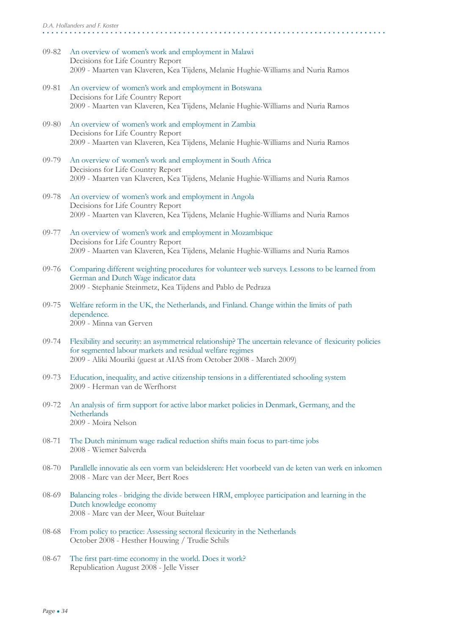- 09-82 An overview of women's work and employment in Malawi Decisions for Life Country Report 2009 - Maarten van Klaveren, Kea Tijdens, Melanie Hughie-Williams and Nuria Ramos
- 09-81 An overview of women's work and employment in Botswana Decisions for Life Country Report 2009 - Maarten van Klaveren, Kea Tijdens, Melanie Hughie-Williams and Nuria Ramos
- 09-80 An overview of women's work and employment in Zambia Decisions for Life Country Report 2009 - Maarten van Klaveren, Kea Tijdens, Melanie Hughie-Williams and Nuria Ramos
- 09-79 An overview of women's work and employment in South Africa Decisions for Life Country Report 2009 - Maarten van Klaveren, Kea Tijdens, Melanie Hughie-Williams and Nuria Ramos
- 09-78 An overview of women's work and employment in Angola Decisions for Life Country Report 2009 - Maarten van Klaveren, Kea Tijdens, Melanie Hughie-Williams and Nuria Ramos
- 09-77 An overview of women's work and employment in Mozambique Decisions for Life Country Report 2009 - Maarten van Klaveren, Kea Tijdens, Melanie Hughie-Williams and Nuria Ramos
- 09-76 Comparing different weighting procedures for volunteer web surveys. Lessons to be learned from German and Dutch Wage indicator data 2009 - Stephanie Steinmetz, Kea Tijdens and Pablo de Pedraza
- 09-75 Welfare reform in the UK, the Netherlands, and Finland. Change within the limits of path dependence. 2009 - Minna van Gerven
- 09-74 Flexibility and security: an asymmetrical relationship? The uncertain relevance of flexicurity policies for segmented labour markets and residual welfare regimes 2009 - Aliki Mouriki (guest at AIAS from October 2008 - March 2009)
- 09-73 Education, inequality, and active citizenship tensions in a differentiated schooling system 2009 - Herman van de Werfhorst
- 09-72 An analysis of firm support for active labor market policies in Denmark, Germany, and the **Netherlands** 2009 - Moira Nelson
- 08-71 The Dutch minimum wage radical reduction shifts main focus to part-time jobs 2008 - Wiemer Salverda
- 08-70 Parallelle innovatie als een vorm van beleidsleren: Het voorbeeld van de keten van werk en inkomen 2008 - Marc van der Meer, Bert Roes
- 08-69 Balancing roles bridging the divide between HRM, employee participation and learning in the Dutch knowledge economy 2008 - Marc van der Meer, Wout Buitelaar
- 08-68 From policy to practice: Assessing sectoral flexicurity in the Netherlands October 2008 - Hesther Houwing / Trudie Schils
- 08-67 The first part-time economy in the world. Does it work? Republication August 2008 - Jelle Visser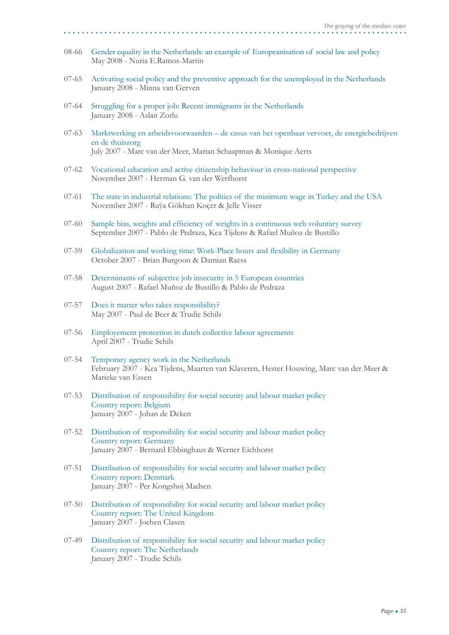- 08-66 Gender equality in the Netherlands: an example of Europeanisation of social law and policy May 2008 - Nuria E.Ramos-Martin
- 07-65 Activating social policy and the preventive approach for the unemployed in the Netherlands January 2008 - Minna van Gerven
- 07-64 Struggling for a proper job: Recent immigrants in the Netherlands January 2008 - Aslan Zorlu
- 07-63 Marktwerking en arbeidsvoorwaarden de casus van het openbaar vervoer, de energiebedrijven en de thuiszorg July 2007 - Marc van der Meer, Marian Schaapman & Monique Aerts
- 07-62 Vocational education and active citizenship behaviour in cross-national perspective November 2007 - Herman G. van der Werfhorst
- 07-61 The state in industrial relations: The politics of the minimum wage in Turkey and the USA November 2007 - Ruÿa Gökhan Koçer & Jelle Visser
- 07-60 Sample bias, weights and efficiency of weights in a continuous web voluntary survey September 2007 - Pablo de Pedraza, Kea Tijdens & Rafael Muñoz de Bustillo
- 07-59 Globalization and working time: Work-Place hours and flexibility in Germany October 2007 - Brian Burgoon & Damian Raess
- 07-58 Determinants of subjective job insecurity in 5 European countries August 2007 - Rafael Muñoz de Bustillo & Pablo de Pedraza
- 07-57 Does it matter who takes responsibility? May 2007 - Paul de Beer & Trudie Schils
- 07-56 Employement protection in dutch collective labour agreements April 2007 - Trudie Schils
- 07-54 Temporary agency work in the Netherlands February 2007 - Kea Tijdens, Maarten van Klaveren, Hester Houwing, Marc van der Meer & Marieke van Essen
- 07-53 Distribution of responsibility for social security and labour market policy Country report: Belgium January 2007 - Johan de Deken
- 07-52 Distribution of responsibility for social security and labour market policy Country report: Germany January 2007 - Bernard Ebbinghaus & Werner Eichhorst
- 07-51 Distribution of responsibility for social security and labour market policy Country report: Denmark January 2007 - Per Kongshøj Madsen
- 07-50 Distribution of responsibility for social security and labour market policy Country report: The United Kingdom January 2007 - Jochen Clasen
- 07-49 Distribution of responsibility for social security and labour market policy Country report: The Netherlands January 2007 - Trudie Schils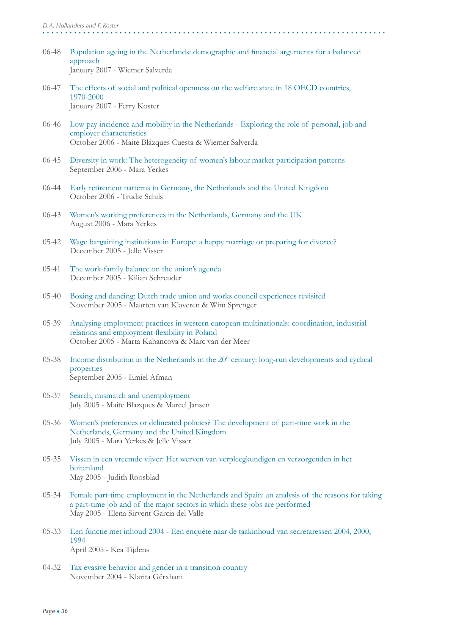- 06-48 Population ageing in the Netherlands: demographic and financial arguments for a balanced approach January 2007 - Wiemer Salverda
- 06-47 The effects of social and political openness on the welfare state in 18 OECD countries, 1970-2000 January 2007 - Ferry Koster
- 06-46 Low pay incidence and mobility in the Netherlands Exploring the role of personal, job and employer characteristics October 2006 - Maite Blázques Cuesta & Wiemer Salverda
- 06-45 Diversity in work: The heterogeneity of women's labour market participation patterns September 2006 - Mara Yerkes
- 06-44 Early retirement patterns in Germany, the Netherlands and the United Kingdom October 2006 - Trudie Schils
- 06-43 Women's working preferences in the Netherlands, Germany and the UK August 2006 - Mara Yerkes
- 05-42 Wage bargaining institutions in Europe: a happy marriage or preparing for divorce? December 2005 - Jelle Visser
- 05-41 The work-family balance on the union's agenda December 2005 - Kilian Schreuder
- 05-40 Boxing and dancing: Dutch trade union and works council experiences revisited November 2005 - Maarten van Klaveren & Wim Sprenger
- 05-39 Analysing employment practices in western european multinationals: coordination, industrial relations and employment flexibility in Poland October 2005 - Marta Kahancova & Marc van der Meer
- $05-38$  Income distribution in the Netherlands in the  $20<sup>th</sup>$  century: long-run developments and cyclical properties September 2005 - Emiel Afman
- 05-37 Search, mismatch and unemployment July 2005 - Maite Blazques & Marcel Jansen
- 05-36 Women's preferences or delineated policies? The development of part-time work in the Netherlands, Germany and the United Kingdom July 2005 - Mara Yerkes & Jelle Visser
- 05-35 Vissen in een vreemde vijver: Het werven van verpleegkundigen en verzorgenden in het buitenland May 2005 - Judith Roosblad
- 05-34 Female part-time employment in the Netherlands and Spain: an analysis of the reasons for taking a part-time job and of the major sectors in which these jobs are performed May 2005 - Elena Sirvent Garcia del Valle
- 05-33 Een functie met inhoud 2004 Een enquête naar de taakinhoud van secretaressen 2004, 2000, 1994 April 2005 - Kea Tijdens
- 04-32 Tax evasive behavior and gender in a transition country November 2004 - Klarita Gërxhani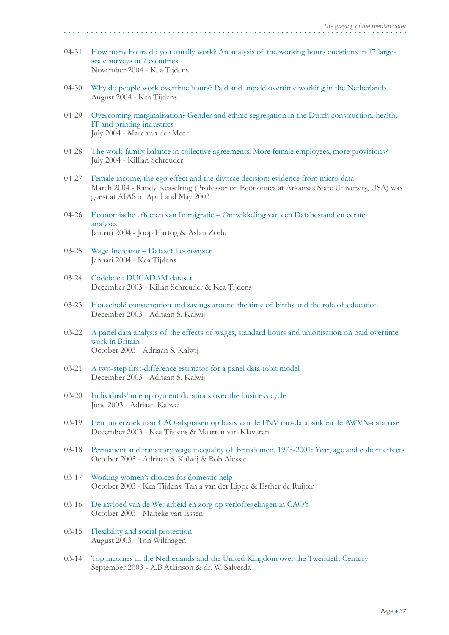- 04-31 How many hours do you usually work? An analysis of the working hours questions in 17 large scale surveys in 7 countries November 2004 - Kea Tijdens
- 04-30 Why do people work overtime hours? Paid and unpaid overtime working in the Netherlands August 2004 - Kea Tijdens
- 04-29 Overcoming marginalisation? Gender and ethnic segregation in the Dutch construction, health, IT and printing industries July 2004 - Marc van der Meer
- 04-28 The work-family balance in collective agreements. More female employees, more provisions? July 2004 - Killian Schreuder
- 04-27 Female income, the ego effect and the divorce decision: evidence from micro data March 2004 - Randy Kesselring (Professor of Economics at Arkansas State University, USA) was guest at AIAS in April and May 2003
- 04-26 Economische effecten van Immigratie Ontwikkeling van een Databestand en eerste analyses Januari 2004 - Joop Hartog & Aslan Zorlu
- 03-25 Wage Indicator Dataset Loonwijzer Januari 2004 - Kea Tijdens
- 03-24 Codeboek DUCADAM dataset December 2003 - Kilian Schreuder & Kea Tijdens
- 03-23 Household consumption and savings around the time of births and the role of education December 2003 - Adriaan S. Kalwij
- 03-22 A panel data analysis of the effects of wages, standard hours and unionisation on paid overtime work in Britain October 2003 - Adriaan S. Kalwij
- 03-21 A two-step first-difference estimator for a panel data tobit model December 2003 - Adriaan S. Kalwij
- 03-20 Individuals' unemployment durations over the business cycle June 2003 - Adriaan Kalwei
- 03-19 Een onderzoek naar CAO-afspraken op basis van de FNV cao-databank en de AWVN-database December 2003 - Kea Tijdens & Maarten van Klaveren
- 03-18 Permanent and transitory wage inequality of British men, 1975-2001: Year, age and cohort effects October 2003 - Adriaan S. Kalwij & Rob Alessie
- 03-17 Working women's choices for domestic help October 2003 - Kea Tijdens, Tanja van der Lippe & Esther de Ruijter
- 03-16 De invloed van de Wet arbeid en zorg op verlofregelingen in CAO's October 2003 - Marieke van Essen
- 03-15 Flexibility and social protection August 2003 - Ton Wilthagen
- 03-14 Top incomes in the Netherlands and the United Kingdom over the Twentieth Century September 2003 - A.B.Atkinson & dr. W. Salverda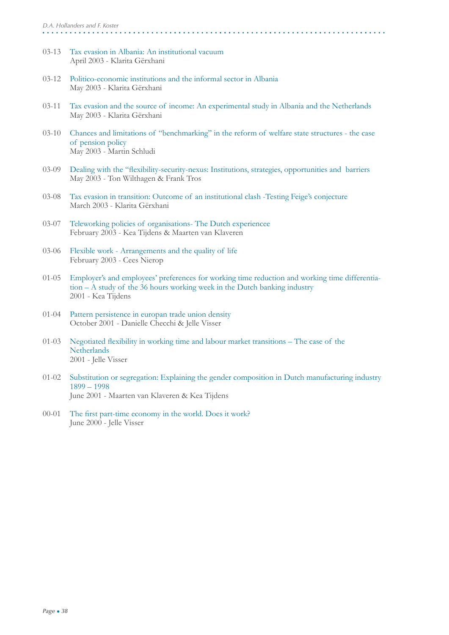- 03-13 Tax evasion in Albania: An institutional vacuum April 2003 - Klarita Gërxhani
- 03-12 Politico-economic institutions and the informal sector in Albania May 2003 - Klarita Gërxhani
- 03-11 Tax evasion and the source of income: An experimental study in Albania and the Netherlands May 2003 - Klarita Gërxhani
- 03-10 Chances and limitations of "benchmarking" in the reform of welfare state structures the case of pension policy May 2003 - Martin Schludi
- 03-09 Dealing with the "flexibility-security-nexus: Institutions, strategies, opportunities and barriers May 2003 - Ton Wilthagen & Frank Tros
- 03-08 Tax evasion in transition: Outcome of an institutional clash -Testing Feige's conjecture March 2003 - Klarita Gërxhani
- 03-07 Teleworking policies of organisations- The Dutch experiencee February 2003 - Kea Tijdens & Maarten van Klaveren
- 03-06 Flexible work Arrangements and the quality of life February 2003 - Cees Nierop
- 01-05 Employer's and employees' preferences for working time reduction and working time differentia tion – A study of the 36 hours working week in the Dutch banking industry 2001 - Kea Tijdens
- 01-04 Pattern persistence in europan trade union density October 2001 - Danielle Checchi & Jelle Visser
- 01-03 Negotiated flexibility in working time and labour market transitions The case of the **Netherlands** 2001 - Jelle Visser
- 01-02 Substitution or segregation: Explaining the gender composition in Dutch manufacturing industry 1899 – 1998 June 2001 - Maarten van Klaveren & Kea Tijdens
- 00-01 The first part-time economy in the world. Does it work? June 2000 - Jelle Visser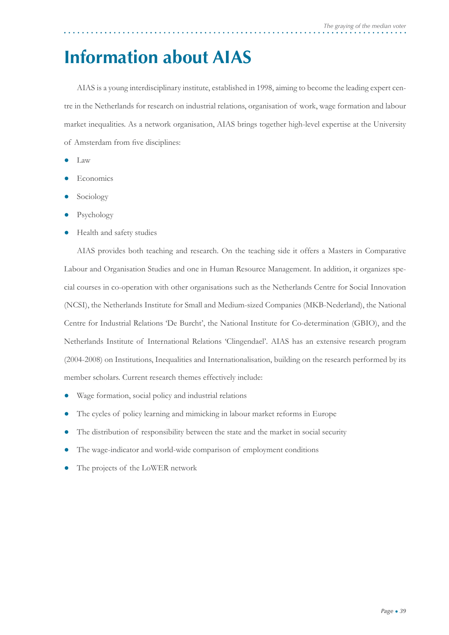### **Information about AIAS**

AIAS is a young interdisciplinary institute, established in 1998, aiming to become the leading expert centre in the Netherlands for research on industrial relations, organisation of work, wage formation and labour market inequalities. As a network organisation, AIAS brings together high-level expertise at the University of Amsterdam from five disciplines:

- Law
- **Economics**
- Sociology
- Psychology
- Health and safety studies

AIAS provides both teaching and research. On the teaching side it offers a Masters in Comparative Labour and Organisation Studies and one in Human Resource Management. In addition, it organizes special courses in co-operation with other organisations such as the Netherlands Centre for Social Innovation (NCSI), the Netherlands Institute for Small and Medium-sized Companies (MKB-Nederland), the National Centre for Industrial Relations 'De Burcht', the National Institute for Co-determination (GBIO), and the Netherlands Institute of International Relations 'Clingendael'. AIAS has an extensive research program (2004-2008) on Institutions, Inequalities and Internationalisation, building on the research performed by its member scholars. Current research themes effectively include:

- Wage formation, social policy and industrial relations
- The cycles of policy learning and mimicking in labour market reforms in Europe
- The distribution of responsibility between the state and the market in social security
- The wage-indicator and world-wide comparison of employment conditions
- The projects of the LoWER network